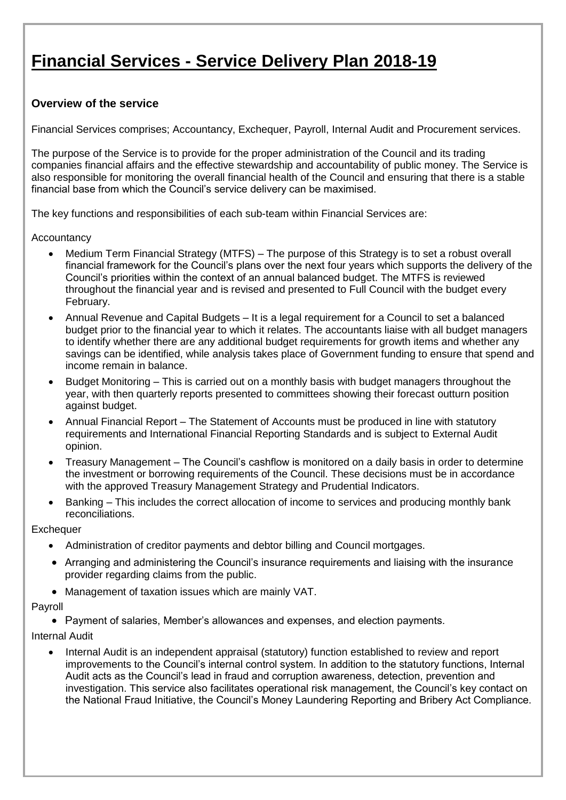# **Financial Services - Service Delivery Plan 2018-19**

#### **Overview of the service**

Financial Services comprises; Accountancy, Exchequer, Payroll, Internal Audit and Procurement services.

The purpose of the Service is to provide for the proper administration of the Council and its trading companies financial affairs and the effective stewardship and accountability of public money. The Service is also responsible for monitoring the overall financial health of the Council and ensuring that there is a stable financial base from which the Council's service delivery can be maximised.

The key functions and responsibilities of each sub-team within Financial Services are:

**Accountancy** 

- Medium Term Financial Strategy (MTFS) The purpose of this Strategy is to set a robust overall financial framework for the Council's plans over the next four years which supports the delivery of the Council's priorities within the context of an annual balanced budget. The MTFS is reviewed throughout the financial year and is revised and presented to Full Council with the budget every February.
- Annual Revenue and Capital Budgets It is a legal requirement for a Council to set a balanced budget prior to the financial year to which it relates. The accountants liaise with all budget managers to identify whether there are any additional budget requirements for growth items and whether any savings can be identified, while analysis takes place of Government funding to ensure that spend and income remain in balance.
- Budget Monitoring This is carried out on a monthly basis with budget managers throughout the year, with then quarterly reports presented to committees showing their forecast outturn position against budget.
- Annual Financial Report The Statement of Accounts must be produced in line with statutory requirements and International Financial Reporting Standards and is subject to External Audit opinion.
- Treasury Management The Council's cashflow is monitored on a daily basis in order to determine the investment or borrowing requirements of the Council. These decisions must be in accordance with the approved Treasury Management Strategy and Prudential Indicators.
- Banking This includes the correct allocation of income to services and producing monthly bank reconciliations.

#### **Exchequer**

- Administration of creditor payments and debtor billing and Council mortgages.
- Arranging and administering the Council's insurance requirements and liaising with the insurance provider regarding claims from the public.
- Management of taxation issues which are mainly VAT.

#### Payroll

• Payment of salaries, Member's allowances and expenses, and election payments.

#### Internal Audit

 Internal Audit is an independent appraisal (statutory) function established to review and report improvements to the Council's internal control system. In addition to the statutory functions, Internal Audit acts as the Council's lead in fraud and corruption awareness, detection, prevention and investigation. This service also facilitates operational risk management, the Council's key contact on the National Fraud Initiative, the Council's Money Laundering Reporting and Bribery Act Compliance.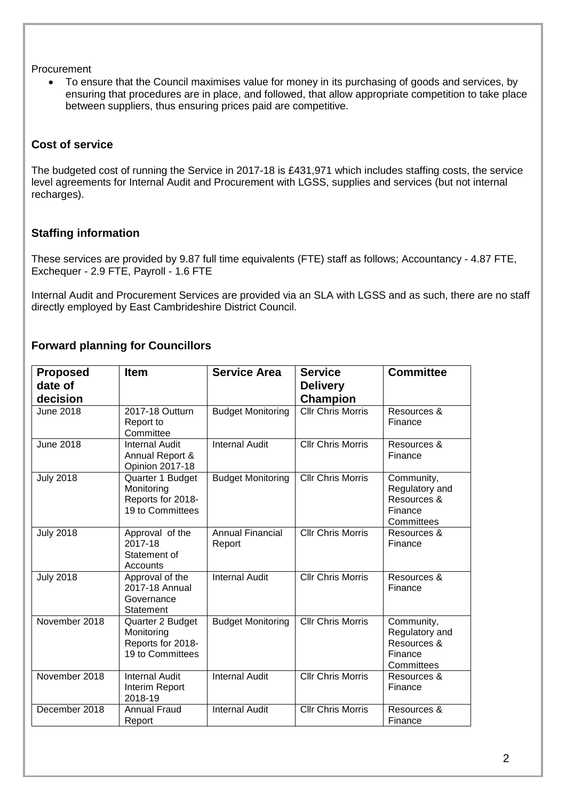Procurement

 To ensure that the Council maximises value for money in its purchasing of goods and services, by ensuring that procedures are in place, and followed, that allow appropriate competition to take place between suppliers, thus ensuring prices paid are competitive.

### **Cost of service**

The budgeted cost of running the Service in 2017-18 is £431,971 which includes staffing costs, the service level agreements for Internal Audit and Procurement with LGSS, supplies and services (but not internal recharges).

### **Staffing information**

These services are provided by 9.87 full time equivalents (FTE) staff as follows; Accountancy - 4.87 FTE, Exchequer - 2.9 FTE, Payroll - 1.6 FTE

Internal Audit and Procurement Services are provided via an SLA with LGSS and as such, there are no staff directly employed by East Cambrideshire District Council.

## **Forward planning for Councillors**

| <b>Proposed</b><br>date of<br>decision | <b>Item</b>                                                             | <b>Service Area</b>               | <b>Service</b><br><b>Delivery</b><br><b>Champion</b> | <b>Committee</b>                                                     |
|----------------------------------------|-------------------------------------------------------------------------|-----------------------------------|------------------------------------------------------|----------------------------------------------------------------------|
| <b>June 2018</b>                       | 2017-18 Outturn<br>Report to<br>Committee                               | <b>Budget Monitoring</b>          | <b>Cllr Chris Morris</b>                             | Resources &<br>Finance                                               |
| <b>June 2018</b>                       | <b>Internal Audit</b><br>Annual Report &<br><b>Opinion 2017-18</b>      | <b>Internal Audit</b>             | <b>Cllr Chris Morris</b>                             | Resources &<br>Finance                                               |
| <b>July 2018</b>                       | Quarter 1 Budget<br>Monitoring<br>Reports for 2018-<br>19 to Committees | <b>Budget Monitoring</b>          | <b>Cllr Chris Morris</b>                             | Community,<br>Regulatory and<br>Resources &<br>Finance<br>Committees |
| <b>July 2018</b>                       | Approval of the<br>2017-18<br>Statement of<br>Accounts                  | <b>Annual Financial</b><br>Report | <b>Cllr Chris Morris</b>                             | Resources &<br>Finance                                               |
| <b>July 2018</b>                       | Approval of the<br>2017-18 Annual<br>Governance<br>Statement            | <b>Internal Audit</b>             | <b>Cllr Chris Morris</b>                             | Resources &<br>Finance                                               |
| November 2018                          | Quarter 2 Budget<br>Monitoring<br>Reports for 2018-<br>19 to Committees | <b>Budget Monitoring</b>          | Cllr Chris Morris                                    | Community,<br>Regulatory and<br>Resources &<br>Finance<br>Committees |
| November 2018                          | <b>Internal Audit</b><br>Interim Report<br>2018-19                      | <b>Internal Audit</b>             | <b>Cllr Chris Morris</b>                             | Resources &<br>Finance                                               |
| December 2018                          | <b>Annual Fraud</b><br>Report                                           | <b>Internal Audit</b>             | <b>Cllr Chris Morris</b>                             | Resources &<br>Finance                                               |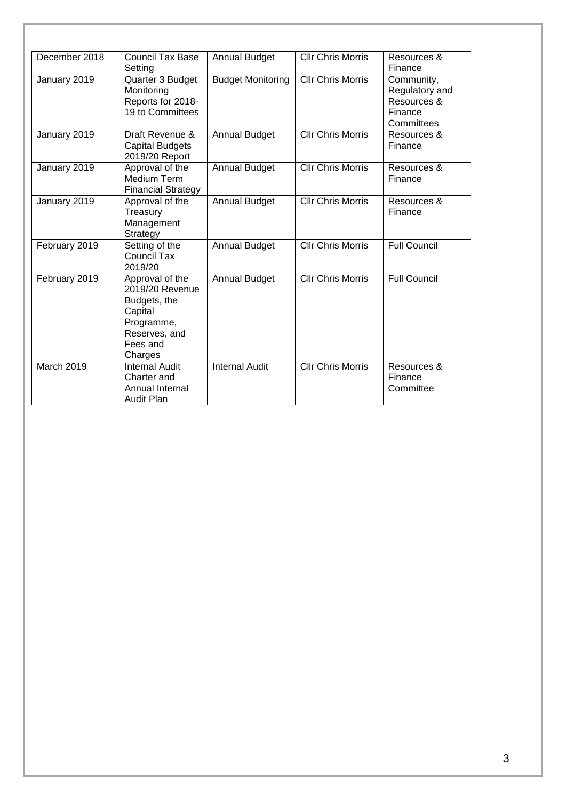| December 2018 | <b>Council Tax Base</b>        | <b>Annual Budget</b>     | <b>Cllr Chris Morris</b> | Resources &         |
|---------------|--------------------------------|--------------------------|--------------------------|---------------------|
|               | Setting                        |                          |                          | Finance             |
| January 2019  | Quarter 3 Budget               | <b>Budget Monitoring</b> | <b>Cllr Chris Morris</b> | Community,          |
|               | Monitoring                     |                          |                          | Regulatory and      |
|               | Reports for 2018-              |                          |                          | Resources &         |
|               | 19 to Committees               |                          |                          | Finance             |
|               |                                |                          |                          | Committees          |
| January 2019  | Draft Revenue &                | <b>Annual Budget</b>     | <b>Cllr Chris Morris</b> | Resources &         |
|               | <b>Capital Budgets</b>         |                          |                          | Finance             |
|               | 2019/20 Report                 |                          | <b>Cllr Chris Morris</b> | Resources &         |
| January 2019  | Approval of the<br>Medium Term | <b>Annual Budget</b>     |                          | Finance             |
|               | <b>Financial Strategy</b>      |                          |                          |                     |
| January 2019  | Approval of the                | <b>Annual Budget</b>     | <b>Cllr Chris Morris</b> | Resources &         |
|               | Treasury                       |                          |                          | Finance             |
|               | Management                     |                          |                          |                     |
|               | Strategy                       |                          |                          |                     |
| February 2019 | Setting of the                 | <b>Annual Budget</b>     | <b>Cllr Chris Morris</b> | <b>Full Council</b> |
|               | <b>Council Tax</b>             |                          |                          |                     |
|               | 2019/20                        |                          |                          |                     |
| February 2019 | Approval of the                | <b>Annual Budget</b>     | <b>Cllr Chris Morris</b> | <b>Full Council</b> |
|               | 2019/20 Revenue                |                          |                          |                     |
|               | Budgets, the                   |                          |                          |                     |
|               | Capital                        |                          |                          |                     |
|               | Programme,<br>Reserves, and    |                          |                          |                     |
|               | Fees and                       |                          |                          |                     |
|               | Charges                        |                          |                          |                     |
| March 2019    | <b>Internal Audit</b>          | <b>Internal Audit</b>    | <b>Cllr Chris Morris</b> | Resources &         |
|               | Charter and                    |                          |                          | Finance             |
|               | Annual Internal                |                          |                          | Committee           |
|               | <b>Audit Plan</b>              |                          |                          |                     |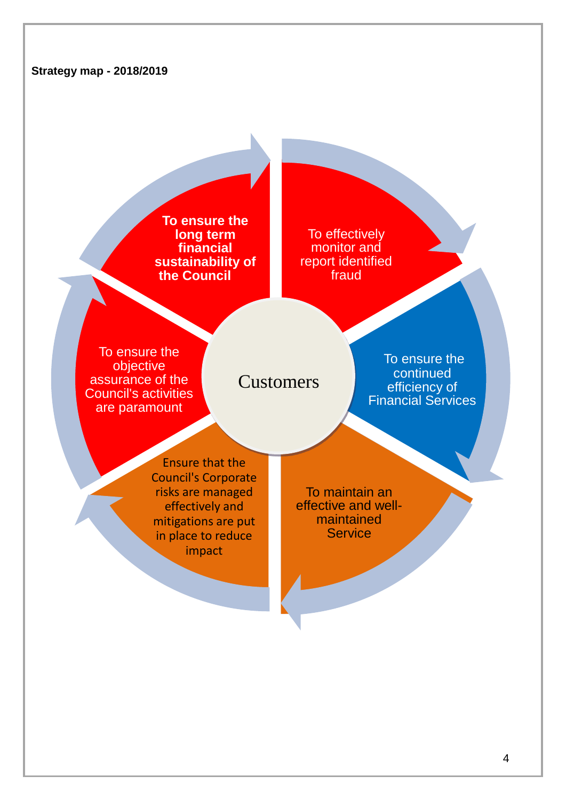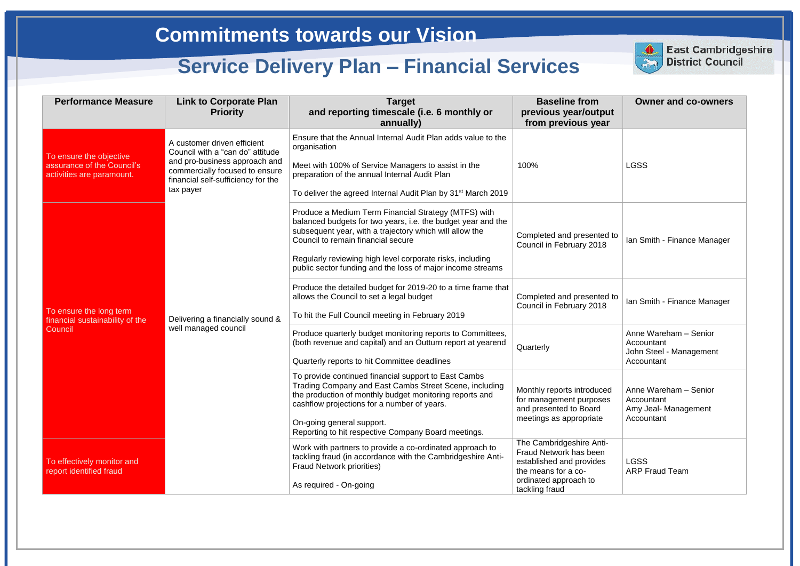| <b>Performance Measure</b>                                                         | <b>Link to Corporate Plan</b><br><b>Priority</b>                                                                                                                                      | <b>Target</b><br>and reporting timescale (i.e. 6 monthly or<br>annually)                                                                                                                                                                                                                                                                         | <b>Baseline from</b><br>previous year/output<br>from previous year                                                                               | <b>Owner and co-owners</b>                                                   |
|------------------------------------------------------------------------------------|---------------------------------------------------------------------------------------------------------------------------------------------------------------------------------------|--------------------------------------------------------------------------------------------------------------------------------------------------------------------------------------------------------------------------------------------------------------------------------------------------------------------------------------------------|--------------------------------------------------------------------------------------------------------------------------------------------------|------------------------------------------------------------------------------|
| To ensure the objective<br>assurance of the Council's<br>activities are paramount. | A customer driven efficient<br>Council with a "can do" attitude<br>and pro-business approach and<br>commercially focused to ensure<br>financial self-sufficiency for the<br>tax payer | Ensure that the Annual Internal Audit Plan adds value to the<br>organisation<br>Meet with 100% of Service Managers to assist in the<br>preparation of the annual Internal Audit Plan<br>To deliver the agreed Internal Audit Plan by 31 <sup>st</sup> March 2019                                                                                 | 100%                                                                                                                                             | <b>LGSS</b>                                                                  |
| To ensure the long term<br>financial sustainability of the<br>Council              | Delivering a financially sound &<br>well managed council                                                                                                                              | Produce a Medium Term Financial Strategy (MTFS) with<br>balanced budgets for two years, i.e. the budget year and the<br>subsequent year, with a trajectory which will allow the<br>Council to remain financial secure<br>Regularly reviewing high level corporate risks, including<br>public sector funding and the loss of major income streams | Completed and presented to<br>Council in February 2018                                                                                           | Ian Smith - Finance Manager                                                  |
|                                                                                    |                                                                                                                                                                                       | Produce the detailed budget for 2019-20 to a time frame that<br>allows the Council to set a legal budget<br>To hit the Full Council meeting in February 2019                                                                                                                                                                                     | Completed and presented to<br>Council in February 2018                                                                                           | Ian Smith - Finance Manager                                                  |
|                                                                                    |                                                                                                                                                                                       | Produce quarterly budget monitoring reports to Committees,<br>(both revenue and capital) and an Outturn report at yearend<br>Quarterly reports to hit Committee deadlines                                                                                                                                                                        | Quarterly                                                                                                                                        | Anne Wareham - Senior<br>Accountant<br>John Steel - Management<br>Accountant |
|                                                                                    |                                                                                                                                                                                       | To provide continued financial support to East Cambs<br>Trading Company and East Cambs Street Scene, including<br>the production of monthly budget monitoring reports and<br>cashflow projections for a number of years.<br>On-going general support.<br>Reporting to hit respective Company Board meetings.                                     | Monthly reports introduced<br>for management purposes<br>and presented to Board<br>meetings as appropriate                                       | Anne Wareham - Senior<br>Accountant<br>Amy Jeal- Management<br>Accountant    |
| To effectively monitor and<br>report identified fraud                              |                                                                                                                                                                                       | Work with partners to provide a co-ordinated approach to<br>tackling fraud (in accordance with the Cambridgeshire Anti-<br><b>Fraud Network priorities)</b><br>As required - On-going                                                                                                                                                            | The Cambridgeshire Anti-<br>Fraud Network has been<br>established and provides<br>the means for a co-<br>ordinated approach to<br>tackling fraud | <b>LGSS</b><br><b>ARP Fraud Team</b>                                         |



**East Cambridgeshire District Council**

# **Commitments towards our Vision**

# **Service Delivery Plan – Financial Services**